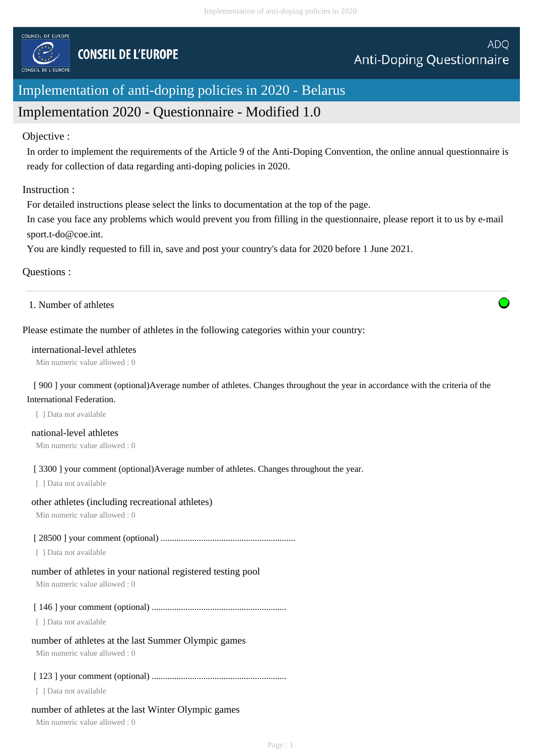

# Implementation of anti-doping policies in 2020 - Belarus

# Implementation 2020 - Questionnaire - Modified 1.0

## Objective :

In order to implement the requirements of the Article 9 of the Anti-Doping Convention, the online annual questionnaire is ready for collection of data regarding anti-doping policies in 2020.

## Instruction :

For detailed instructions please select the links to documentation at the top of the page.

In case you face any problems which would prevent you from filling in the questionnaire, please report it to us by e-mail sport.t-do@coe.int.

You are kindly requested to fill in, save and post your country's data for 2020 before 1 June 2021.

## Questions :

1. Number of athletes

## Please estimate the number of athletes in the following categories within your country:

#### international-level athletes

Min numeric value allowed : 0

[ 900 ] your comment (optional)Average number of athletes. Changes throughout the year in accordance with the criteria of the International Federation.

[ ] Data not available

national-level athletes Min numeric value allowed : 0

[ 3300 ] your comment (optional)Average number of athletes. Changes throughout the year.

[ ] Data not available

#### other athletes (including recreational athletes)

Min numeric value allowed : 0

#### [ 28500 ] your comment (optional) ............................................................

[ ] Data not available

#### number of athletes in your national registered testing pool

Min numeric value allowed : 0

#### [ 146 ] your comment (optional) ............................................................

[ ] Data not available

#### number of athletes at the last Summer Olympic games

Min numeric value allowed : 0

#### [ 123 ] your comment (optional) ............................................................

[ ] Data not available

#### number of athletes at the last Winter Olympic games

Min numeric value allowed : 0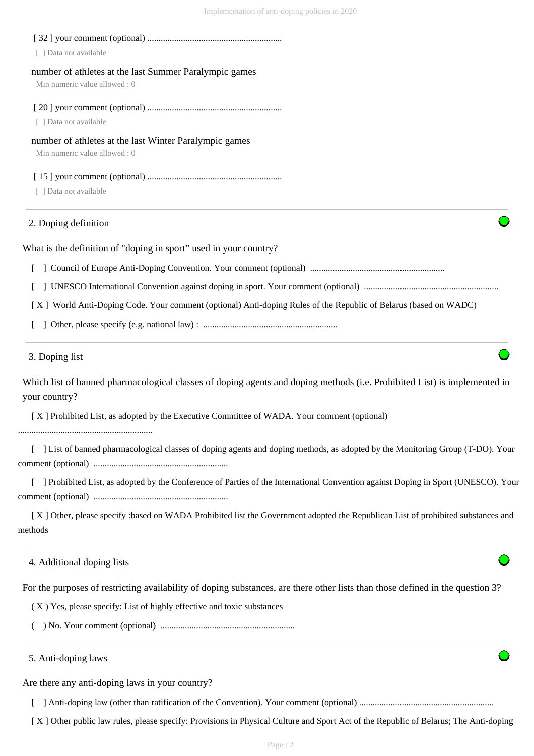| [ ] Data not available                                                                                                                      |
|---------------------------------------------------------------------------------------------------------------------------------------------|
| number of athletes at the last Summer Paralympic games<br>Min numeric value allowed: 0                                                      |
| [ ] Data not available                                                                                                                      |
| number of athletes at the last Winter Paralympic games<br>Min numeric value allowed: 0                                                      |
| [ ] Data not available                                                                                                                      |
| 2. Doping definition                                                                                                                        |
| What is the definition of "doping in sport" used in your country?                                                                           |
|                                                                                                                                             |
|                                                                                                                                             |
| [X] World Anti-Doping Code. Your comment (optional) Anti-doping Rules of the Republic of Belarus (based on WADC)                            |
|                                                                                                                                             |
| 3. Doping list                                                                                                                              |
| Which list of banned pharmacological classes of doping agents and doping methods (i.e. Prohibited List) is implemented in<br>your country?  |
| [X] Prohibited List, as adopted by the Executive Committee of WADA. Your comment (optional)                                                 |
| List of banned pharmacological classes of doping agents and doping methods, as adopted by the Monitoring Group (T-DO). Your                 |
| ] Prohibited List, as adopted by the Conference of Parties of the International Convention against Doping in Sport (UNESCO). Your           |
| [X] Other, please specify :based on WADA Prohibited list the Government adopted the Republican List of prohibited substances and<br>methods |
| 4. Additional doping lists                                                                                                                  |
| For the purposes of restricting availability of doping substances, are there other lists than those defined in the question 3?              |
| (X) Yes, please specify: List of highly effective and toxic substances                                                                      |
|                                                                                                                                             |
| 5. Anti-doping laws                                                                                                                         |
| Are there any anti-doping laws in your country?                                                                                             |
|                                                                                                                                             |

[ X ] Other public law rules, please specify: Provisions in Physical Culture and Sport Act of the Republic of Belarus; The Anti-doping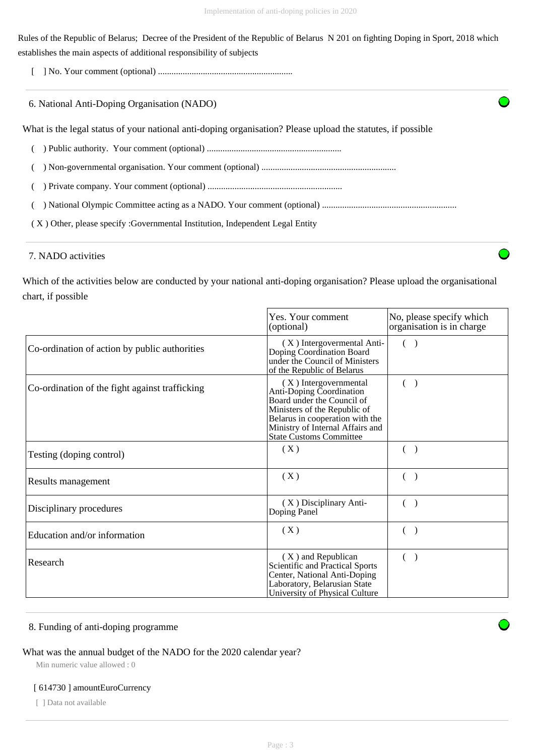Rules of the Republic of Belarus; Decree of the President of the Republic of Belarus N 201 on fighting Doping in Sport, 2018 which establishes the main aspects of additional responsibility of subjects

[ ] No. Your comment (optional) ............................................................

| 6. National Anti-Doping Organisation (NADO) |  |
|---------------------------------------------|--|
|---------------------------------------------|--|

What is the legal status of your national anti-doping organisation? Please upload the statutes, if possible

- ( ) Public authority. Your comment (optional) ............................................................
- ( ) Non-governmental organisation. Your comment (optional) ............................................................
- ( ) Private company. Your comment (optional) ............................................................
- ( ) National Olympic Committee acting as a NADO. Your comment (optional) ............................................................
- ( X ) Other, please specify :Governmental Institution, Independent Legal Entity

## 7. NADO activities

Which of the activities below are conducted by your national anti-doping organisation? Please upload the organisational chart, if possible

|                                                | Yes. Your comment<br>(optional)                                                                                                                                                                                          | No, please specify which<br>organisation is in charge |
|------------------------------------------------|--------------------------------------------------------------------------------------------------------------------------------------------------------------------------------------------------------------------------|-------------------------------------------------------|
| Co-ordination of action by public authorities  | (X) Intergovermental Anti-<br>Doping Coordination Board<br>under the Council of Ministers<br>of the Republic of Belarus                                                                                                  |                                                       |
| Co-ordination of the fight against trafficking | (X) Intergovernmental<br>Anti-Doping Coordination<br>Board under the Council of<br>Ministers of the Republic of<br>Belarus in cooperation with the<br>Ministry of Internal Affairs and<br><b>State Customs Committee</b> |                                                       |
| Testing (doping control)                       | (X)                                                                                                                                                                                                                      |                                                       |
| Results management                             | (X)                                                                                                                                                                                                                      |                                                       |
| Disciplinary procedures                        | (X) Disciplinary Anti-<br>Doping Panel                                                                                                                                                                                   |                                                       |
| Education and/or information                   | (X)                                                                                                                                                                                                                      |                                                       |
| Research                                       | $(X)$ and Republican<br>Scientific and Practical Sports<br>Center, National Anti-Doping<br>Laboratory, Belarusian State<br>University of Physical Culture                                                                |                                                       |

## 8. Funding of anti-doping programme

# What was the annual budget of the NADO for the 2020 calendar year?

Min numeric value allowed : 0

## [ 614730 ] amountEuroCurrency

[ ] Data not available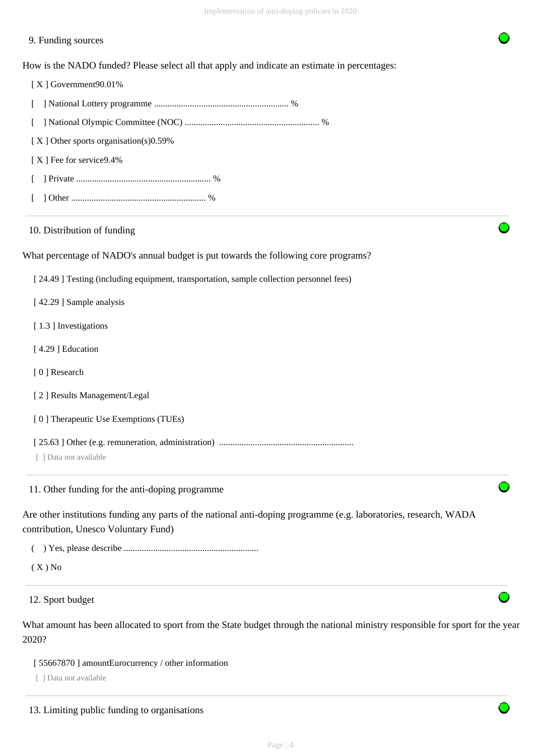## 9. Funding sources

How is the NADO funded? Please select all that apply and indicate an estimate in percentages:

| [X] Government90.01%                                                                    |  |
|-----------------------------------------------------------------------------------------|--|
|                                                                                         |  |
| L                                                                                       |  |
| [X] Other sports organisation(s)0.59%                                                   |  |
| [X] Fee for service9.4%                                                                 |  |
|                                                                                         |  |
|                                                                                         |  |
| 10. Distribution of funding                                                             |  |
| What percentage of NADO's annual budget is put towards the following core programs?     |  |
| [24.49] Testing (including equipment, transportation, sample collection personnel fees) |  |
| [42.29] Sample analysis                                                                 |  |
| [1.3] Investigations                                                                    |  |
| [4.29] Education                                                                        |  |
| [0] Research                                                                            |  |
| [2] Results Management/Legal                                                            |  |
|                                                                                         |  |
| [0] Therapeutic Use Exemptions (TUEs)                                                   |  |
|                                                                                         |  |

Are other institutions funding any parts of the national anti-doping programme (e.g. laboratories, research, WADA

contribution, Unesco Voluntary Fund)

( ) Yes, please describe ............................................................

 $(X)$  No

12. Sport budget

What amount has been allocated to sport from the State budget through the national ministry responsible for sport for the year 2020?

[ 55667870 ] amountEurocurrency / other information

[ ] Data not available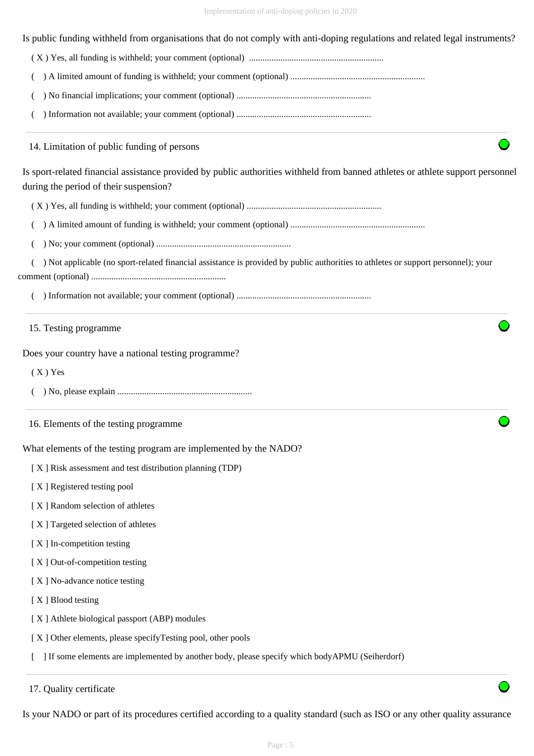Is public funding withheld from organisations that do not comply with anti-doping regulations and related legal instruments?

( X ) Yes, all funding is withheld; your comment (optional) ............................................................

( ) A limited amount of funding is withheld; your comment (optional) ............................................................

( ) No financial implications; your comment (optional) ............................................................

( ) Information not available; your comment (optional) ............................................................

14. Limitation of public funding of persons

Is sport-related financial assistance provided by public authorities withheld from banned athletes or athlete support personnel during the period of their suspension?

( X ) Yes, all funding is withheld; your comment (optional) ............................................................

( ) A limited amount of funding is withheld; your comment (optional) ............................................................

( ) No; your comment (optional) ............................................................

 ( ) Not applicable (no sport-related financial assistance is provided by public authorities to athletes or support personnel); your comment (optional) ............................................................

( ) Information not available; your comment (optional) ............................................................

15. Testing programme

Does your country have a national testing programme?

 $(X)$  Yes

- ( ) No, please explain ............................................................
- 16. Elements of the testing programme

What elements of the testing program are implemented by the NADO?

[ X ] Risk assessment and test distribution planning (TDP)

[X] Registered testing pool

- [ X ] Random selection of athletes
- [ X ] Targeted selection of athletes
- [ X ] In-competition testing
- [ X ] Out-of-competition testing
- [ X ] No-advance notice testing
- [X ] Blood testing
- [ X ] Athlete biological passport (ABP) modules
- [X] Other elements, please specifyTesting pool, other pools

[ ] If some elements are implemented by another body, please specify which bodyAPMU (Seiherdorf)

Is your NADO or part of its procedures certified according to a quality standard (such as ISO or any other quality assurance

<sup>17.</sup> Quality certificate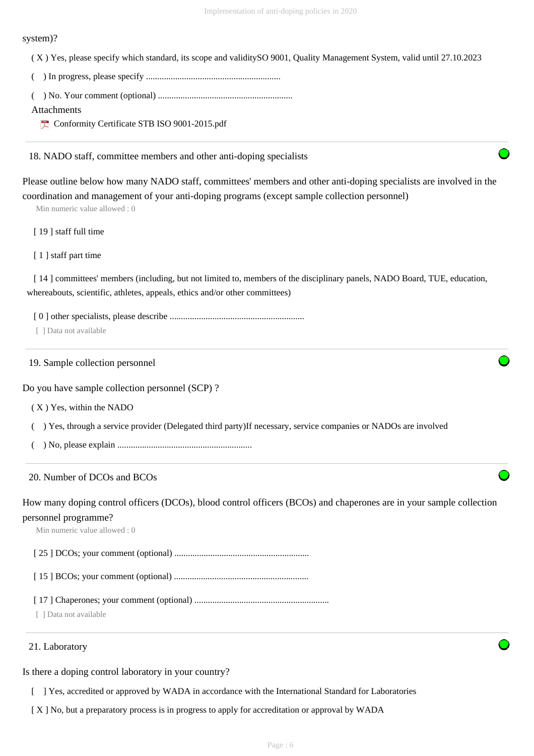#### system)?

( X ) Yes, please specify which standard, its scope and validitySO 9001, Quality Management System, valid until 27.10.2023

- ( ) In progress, please specify ............................................................
- ( ) No. Your comment (optional) ............................................................

#### Attachments

Conformity Certificate STB ISO 9001-2015.pdf

#### 18. NADO staff, committee members and other anti-doping specialists

Please outline below how many NADO staff, committees' members and other anti-doping specialists are involved in the coordination and management of your anti-doping programs (except sample collection personnel)

Min numeric value allowed : 0

[19] staff full time

[1] staff part time

[14] committees' members (including, but not limited to, members of the disciplinary panels, NADO Board, TUE, education, whereabouts, scientific, athletes, appeals, ethics and/or other committees)

[ 0 ] other specialists, please describe ............................................................

[ 1 Data not available

19. Sample collection personnel

Do you have sample collection personnel (SCP) ?

- ( X ) Yes, within the NADO
- ( ) Yes, through a service provider (Delegated third party)If necessary, service companies or NADOs are involved
- ( ) No, please explain ............................................................

## 20. Number of DCOs and BCOs

How many doping control officers (DCOs), blood control officers (BCOs) and chaperones are in your sample collection personnel programme?

Min numeric value allowed : 0

[ 25 ] DCOs; your comment (optional) ............................................................

[ 15 ] BCOs; your comment (optional) ............................................................

[ 17 ] Chaperones; your comment (optional) ............................................................

[ ] Data not available

#### 21. Laboratory

Is there a doping control laboratory in your country?

[ ] Yes, accredited or approved by WADA in accordance with the International Standard for Laboratories

[ X ] No, but a preparatory process is in progress to apply for accreditation or approval by WADA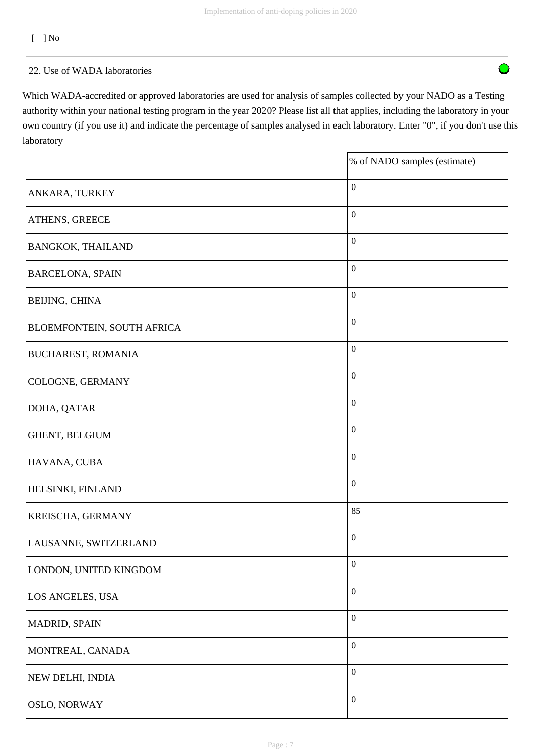$\bigcirc$ 

[ ] No

## 22. Use of WADA laboratories

Which WADA-accredited or approved laboratories are used for analysis of samples collected by your NADO as a Testing authority within your national testing program in the year 2020? Please list all that applies, including the laboratory in your own country (if you use it) and indicate the percentage of samples analysed in each laboratory. Enter "0", if you don't use this laboratory

|                                   | % of NADO samples (estimate) |
|-----------------------------------|------------------------------|
| ANKARA, TURKEY                    | $\boldsymbol{0}$             |
| ATHENS, GREECE                    | $\boldsymbol{0}$             |
| <b>BANGKOK, THAILAND</b>          | $\boldsymbol{0}$             |
| <b>BARCELONA, SPAIN</b>           | $\boldsymbol{0}$             |
| <b>BEIJING, CHINA</b>             | $\boldsymbol{0}$             |
| <b>BLOEMFONTEIN, SOUTH AFRICA</b> | $\boldsymbol{0}$             |
| <b>BUCHAREST, ROMANIA</b>         | $\boldsymbol{0}$             |
| COLOGNE, GERMANY                  | $\boldsymbol{0}$             |
| DOHA, QATAR                       | $\boldsymbol{0}$             |
| GHENT, BELGIUM                    | $\boldsymbol{0}$             |
| HAVANA, CUBA                      | $\boldsymbol{0}$             |
| HELSINKI, FINLAND                 | $\boldsymbol{0}$             |
| KREISCHA, GERMANY                 | 85                           |
| LAUSANNE, SWITZERLAND             | $\boldsymbol{0}$             |
| LONDON, UNITED KINGDOM            | $\boldsymbol{0}$             |
| LOS ANGELES, USA                  | $\boldsymbol{0}$             |
| MADRID, SPAIN                     | $\boldsymbol{0}$             |
| MONTREAL, CANADA                  | $\boldsymbol{0}$             |
| NEW DELHI, INDIA                  | $\boldsymbol{0}$             |
| OSLO, NORWAY                      | $\boldsymbol{0}$             |

Page : 7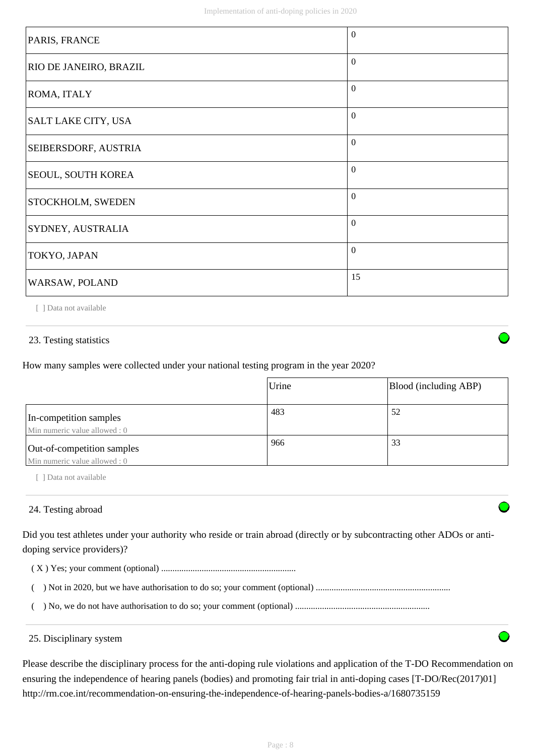| PARIS, FRANCE                 | $\Omega$ |
|-------------------------------|----------|
| <b>RIO DE JANEIRO, BRAZIL</b> | $\Omega$ |
| ROMA, ITALY                   | $\Omega$ |
| SALT LAKE CITY, USA           | $\Omega$ |
| <b>SEIBERSDORF, AUSTRIA</b>   | $\Omega$ |
| <b>SEOUL, SOUTH KOREA</b>     | $\theta$ |
| <b>STOCKHOLM, SWEDEN</b>      | $\theta$ |
| <b>SYDNEY, AUSTRALIA</b>      | $\Omega$ |
| TOKYO, JAPAN                  | $\Omega$ |
| WARSAW, POLAND                | 15       |

[ ] Data not available

## 23. Testing statistics

How many samples were collected under your national testing program in the year 2020?

|                                                             | Urine | Blood (including ABP) |
|-------------------------------------------------------------|-------|-----------------------|
| In-competition samples<br>Min numeric value allowed: 0      | 483   | 52                    |
| Out-of-competition samples<br>Min numeric value allowed : 0 | 966   | 33                    |

[ ] Data not available

## 24. Testing abroad

Did you test athletes under your authority who reside or train abroad (directly or by subcontracting other ADOs or antidoping service providers)?

( X ) Yes; your comment (optional) ............................................................

( ) Not in 2020, but we have authorisation to do so; your comment (optional) ............................................................

( ) No, we do not have authorisation to do so; your comment (optional) ............................................................

#### 25. Disciplinary system

Please describe the disciplinary process for the anti-doping rule violations and application of the T-DO Recommendation on ensuring the independence of hearing panels (bodies) and promoting fair trial in anti-doping cases [T-DO/Rec(2017)01] http://rm.coe.int/recommendation-on-ensuring-the-independence-of-hearing-panels-bodies-a/1680735159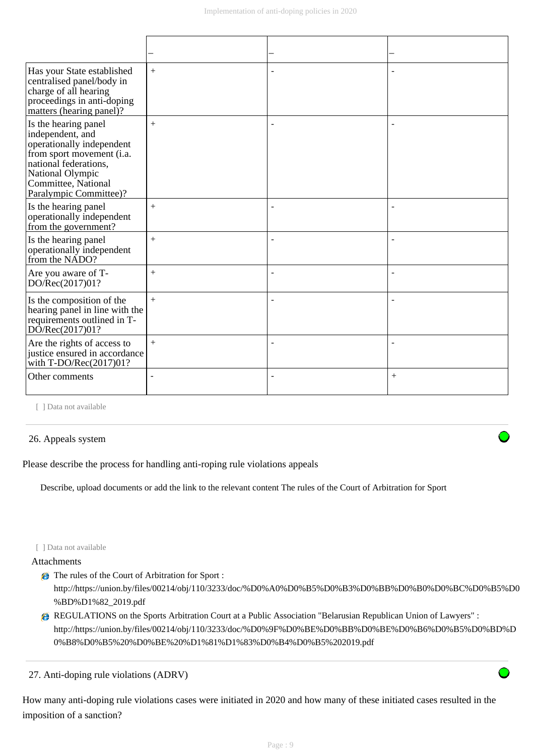| Has your State established<br>centralised panel/body in<br>charge of all hearing<br>proceedings in anti-doping<br>matters (hearing panel)?                                                       | $+$    |                |        |
|--------------------------------------------------------------------------------------------------------------------------------------------------------------------------------------------------|--------|----------------|--------|
| Is the hearing panel<br>independent, and<br>operationally independent<br>from sport movement (i.a.<br>national federations,<br>National Olympic<br>Committee, National<br>Paralympic Committee)? | $+$    |                |        |
| Is the hearing panel<br>operationally independent<br>from the government?                                                                                                                        | $+$    |                |        |
| Is the hearing panel<br>operationally independent<br>from the NADO?                                                                                                                              | $+$    |                |        |
| Are you aware of T-<br>DO/Rec(2017)01?                                                                                                                                                           | $+$    |                |        |
| Is the composition of the<br>hearing panel in line with the<br>requirements outlined in T-<br>DO/Rec(2017)01?                                                                                    | $+$    | ÷              |        |
| Are the rights of access to<br>justice ensured in accordance<br>with T-DO/Rec(2017)01?                                                                                                           | $+$    | $\blacksquare$ |        |
| Other comments                                                                                                                                                                                   | $\sim$ | $\blacksquare$ | $^{+}$ |

[ ] Data not available

## 26. Appeals system

Please describe the process for handling anti-roping rule violations appeals

Describe, upload documents or add the link to the relevant content The rules of the Court of Arbitration for Sport

#### [ ] Data not available

### Attachments

- The rules of the Court of Arbitration for Sport : http://https://union.by/files/00214/obj/110/3233/doc/%D0%A0%D0%B5%D0%B3%D0%BB%D0%B0%D0%BC%D0%B5%D0 %BD%D1%82\_2019.pdf
- REGULATIONS on the Sports Arbitration Court at a Public Association "Belarusian Republican Union of Lawyers" : http://https://union.by/files/00214/obj/110/3233/doc/%D0%9F%D0%BE%D0%BB%D0%BE%D0%B6%D0%B5%D0%BD%D 0%B8%D0%B5%20%D0%BE%20%D1%81%D1%83%D0%B4%D0%B5%202019.pdf

27. Anti-doping rule violations (ADRV)

How many anti-doping rule violations cases were initiated in 2020 and how many of these initiated cases resulted in the imposition of a sanction?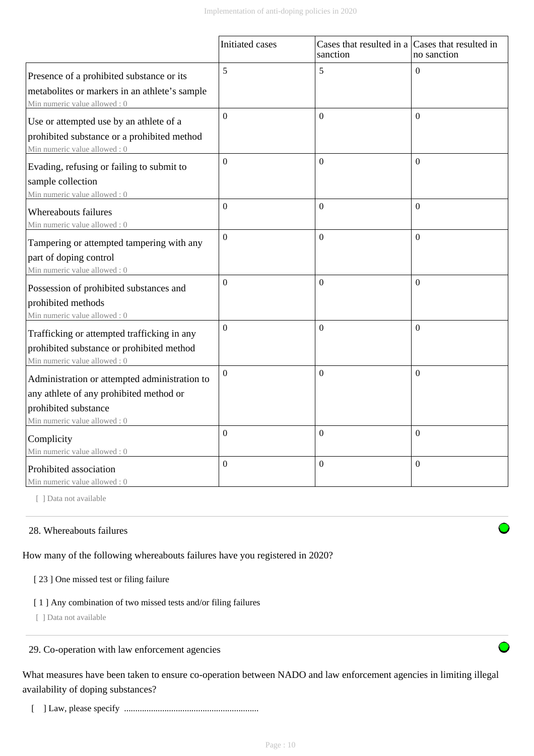|                                                                                                                                                  | Initiated cases  | Cases that resulted in a Cases that resulted in<br>sanction | no sanction      |
|--------------------------------------------------------------------------------------------------------------------------------------------------|------------------|-------------------------------------------------------------|------------------|
| Presence of a prohibited substance or its<br>metabolites or markers in an athlete's sample<br>Min numeric value allowed: 0                       | 5                | 5                                                           | $\theta$         |
| Use or attempted use by an athlete of a<br>prohibited substance or a prohibited method<br>Min numeric value allowed: 0                           | $\overline{0}$   | $\Omega$                                                    | $\theta$         |
| Evading, refusing or failing to submit to<br>sample collection<br>Min numeric value allowed: 0                                                   | $\boldsymbol{0}$ | $\Omega$                                                    | $\Omega$         |
| Whereabouts failures<br>Min numeric value allowed: 0                                                                                             | $\theta$         | $\Omega$                                                    | $\boldsymbol{0}$ |
| Tampering or attempted tampering with any<br>part of doping control<br>Min numeric value allowed: 0                                              | $\boldsymbol{0}$ | $\boldsymbol{0}$                                            | $\boldsymbol{0}$ |
| Possession of prohibited substances and<br>prohibited methods<br>Min numeric value allowed: 0                                                    | $\theta$         | $\Omega$                                                    | $\theta$         |
| Trafficking or attempted trafficking in any<br>prohibited substance or prohibited method<br>Min numeric value allowed: 0                         | $\boldsymbol{0}$ | $\mathbf{0}$                                                | $\overline{0}$   |
| Administration or attempted administration to<br>any athlete of any prohibited method or<br>prohibited substance<br>Min numeric value allowed: 0 | $\Omega$         | $\boldsymbol{0}$                                            | $\Omega$         |
| Complicity<br>Min numeric value allowed: 0                                                                                                       | $\overline{0}$   | $\boldsymbol{0}$                                            | $\boldsymbol{0}$ |
| Prohibited association<br>Min numeric value allowed: 0                                                                                           | $\Omega$         | $\boldsymbol{0}$                                            | $\boldsymbol{0}$ |

[ ] Data not available

## 28. Whereabouts failures

How many of the following whereabouts failures have you registered in 2020?

#### [ 23 ] One missed test or filing failure

## [ 1 ] Any combination of two missed tests and/or filing failures

[ ] Data not available

29. Co-operation with law enforcement agencies

What measures have been taken to ensure co-operation between NADO and law enforcement agencies in limiting illegal availability of doping substances?

[ ] Law, please specify ............................................................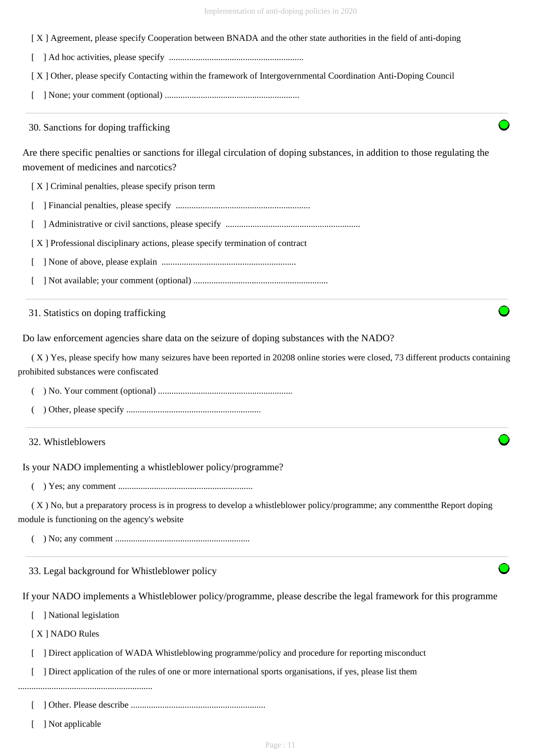[ X ] Agreement, please specify Cooperation between BNADA and the other state authorities in the field of anti-doping

[ ] Ad hoc activities, please specify ............................................................

[ X ] Other, please specify Contacting within the framework of Intergovernmental Coordination Anti-Doping Council

[ ] None; your comment (optional) ............................................................

30. Sanctions for doping trafficking

Are there specific penalties or sanctions for illegal circulation of doping substances, in addition to those regulating the movement of medicines and narcotics?

[ X ] Criminal penalties, please specify prison term

- [ ] Financial penalties, please specify ............................................................
- [ ] Administrative or civil sanctions, please specify ............................................................

[ X ] Professional disciplinary actions, please specify termination of contract

- [ ] None of above, please explain ............................................................
- [ ] Not available; your comment (optional) ............................................................

31. Statistics on doping trafficking

Do law enforcement agencies share data on the seizure of doping substances with the NADO?

 ( X ) Yes, please specify how many seizures have been reported in 20208 online stories were closed, 73 different products containing prohibited substances were confiscated

( ) No. Your comment (optional) ............................................................

( ) Other, please specify ............................................................

32. Whistleblowers

Is your NADO implementing a whistleblower policy/programme?

( ) Yes; any comment ............................................................

 ( X ) No, but a preparatory process is in progress to develop a whistleblower policy/programme; any commentthe Report doping module is functioning on the agency's website

( ) No; any comment ............................................................

33. Legal background for Whistleblower policy

If your NADO implements a Whistleblower policy/programme, please describe the legal framework for this programme

[ ] National legislation

[ X ] NADO Rules

- [ ] Direct application of WADA Whistleblowing programme/policy and procedure for reporting misconduct
- [ ] Direct application of the rules of one or more international sports organisations, if yes, please list them

............................................................

[ ] Other. Please describe ............................................................

[ ] Not applicable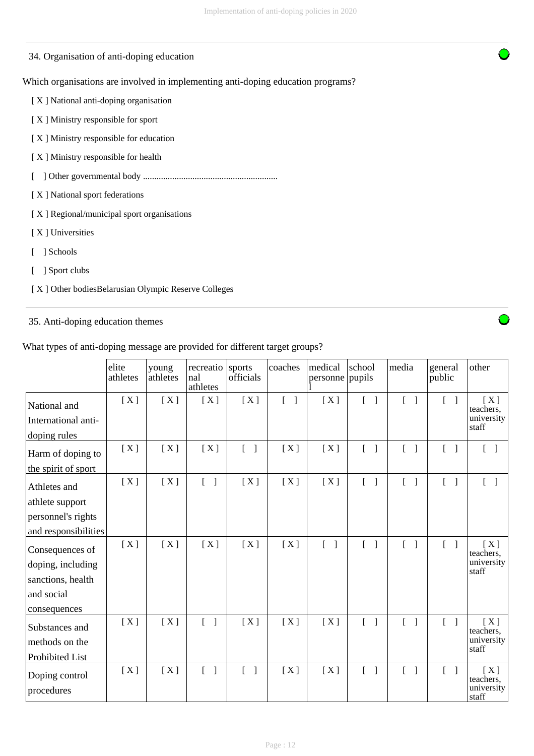## 34. Organisation of anti-doping education

Which organisations are involved in implementing anti-doping education programs?

[ X ] National anti-doping organisation

- [ X ] Ministry responsible for sport
- [ X ] Ministry responsible for education
- [ X ] Ministry responsible for health
- [ ] Other governmental body ............................................................
- [ X ] National sport federations
- [ X ] Regional/municipal sport organisations
- [ X ] Universities
- [ ] Schools
- [ ] Sport clubs
- [ X ] Other bodiesBelarusian Olympic Reserve Colleges

## 35. Anti-doping education themes

What types of anti-doping message are provided for different target groups?

|                      | elite<br>athletes | young<br>athletes | recreatio<br>nal<br>athletes | sports<br>officials               | coaches         | medical<br>personne pupils        | school                                             | media                                    | general<br>public                 | other                 |
|----------------------|-------------------|-------------------|------------------------------|-----------------------------------|-----------------|-----------------------------------|----------------------------------------------------|------------------------------------------|-----------------------------------|-----------------------|
| National and         | [X]               | [X]               | [X]                          | [X]                               | $\lceil \rceil$ | [X]                               | $[ \ ]$                                            | $\begin{bmatrix} 1 \end{bmatrix}$        | $\lceil \cdot \rceil$             | [X]<br>teachers,      |
| International anti-  |                   |                   |                              |                                   |                 |                                   |                                                    |                                          |                                   | university<br>staff   |
| doping rules         |                   |                   |                              |                                   |                 |                                   |                                                    |                                          |                                   |                       |
| Harm of doping to    | [X]               | [X]               | [X]                          | $\begin{bmatrix} 1 \end{bmatrix}$ | [X]             | [X]                               | $\begin{bmatrix} 1 \end{bmatrix}$                  | $[ \ ]$                                  | $\begin{bmatrix} 1 \end{bmatrix}$ | $\lceil \; \rceil$    |
| the spirit of sport  |                   |                   |                              |                                   |                 |                                   |                                                    |                                          |                                   |                       |
| Athletes and         | [X]               | [X]               | $\lceil \rceil$              | [X]                               | [X]             | [X]                               | $\overline{\phantom{a}}$<br>$\left[ \quad \right]$ | $\sqrt{ }$                               | $\lceil \cdot \rceil$             | $\lceil \cdot \rceil$ |
| athlete support      |                   |                   |                              |                                   |                 |                                   |                                                    |                                          |                                   |                       |
| personnel's rights   |                   |                   |                              |                                   |                 |                                   |                                                    |                                          |                                   |                       |
| and responsibilities |                   |                   |                              |                                   |                 |                                   |                                                    |                                          |                                   |                       |
| Consequences of      | [X]               | [X]               | [X]                          | [X]                               | [X]             | $\begin{bmatrix} 1 \end{bmatrix}$ | $\mathbf{I}$<br>$\mathbb{L}$                       | $\mathbb{L}$<br>$\overline{\phantom{a}}$ | $\begin{bmatrix} 1 \end{bmatrix}$ | [X]<br>teachers,      |
| doping, including    |                   |                   |                              |                                   |                 |                                   |                                                    |                                          |                                   | university<br>staff   |
| sanctions, health    |                   |                   |                              |                                   |                 |                                   |                                                    |                                          |                                   |                       |
| and social           |                   |                   |                              |                                   |                 |                                   |                                                    |                                          |                                   |                       |
| consequences         |                   |                   |                              |                                   |                 |                                   |                                                    |                                          |                                   |                       |
| Substances and       | [X]               | [X]               | $\lceil \rceil$              | [X]                               | [X]             | [X]                               | $\begin{bmatrix} 1 \end{bmatrix}$                  | $[ \ ]$                                  | $\begin{bmatrix} 1 \end{bmatrix}$ | [X]<br>teachers,      |
| methods on the       |                   |                   |                              |                                   |                 |                                   |                                                    |                                          |                                   | university<br>staff   |
| Prohibited List      |                   |                   |                              |                                   |                 |                                   |                                                    |                                          |                                   |                       |
| Doping control       | [X]               | [X]               | $[ \ ]$                      | $\begin{bmatrix} 1 \end{bmatrix}$ | [X]             | [X]                               | $\begin{bmatrix} 1 \end{bmatrix}$                  | $\begin{bmatrix} 1 \end{bmatrix}$        | $[ \ ]$                           | [X]<br>teachers.      |
| procedures           |                   |                   |                              |                                   |                 |                                   |                                                    |                                          |                                   | university<br>staff   |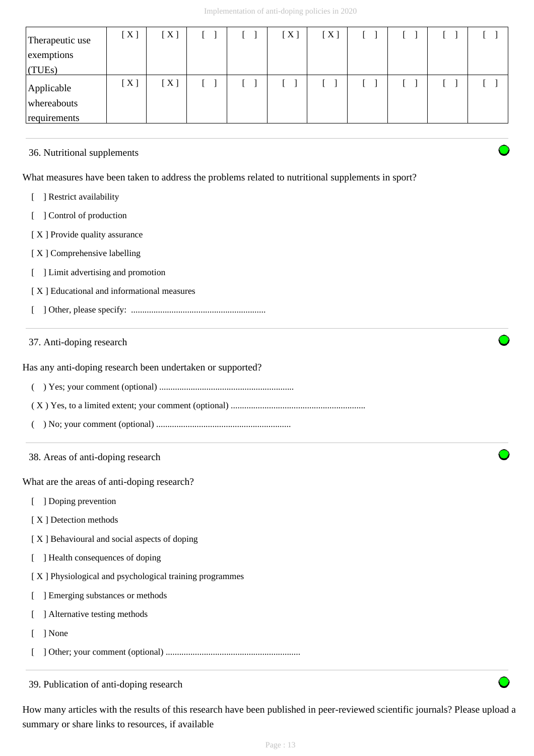| Therapeutic use<br>exemptions<br>(TUES)   | [X] | [X] |  | [X] | [X] |  |  |
|-------------------------------------------|-----|-----|--|-----|-----|--|--|
| Applicable<br>whereabouts<br>requirements | [X] | [X] |  |     |     |  |  |

## 36. Nutritional supplements

What measures have been taken to address the problems related to nutritional supplements in sport?

- [ ] Restrict availability
- [ ] Control of production
- [X] Provide quality assurance
- [X] Comprehensive labelling
- [ ] Limit advertising and promotion
- [ X ] Educational and informational measures
- [ ] Other, please specify: ............................................................

## 37. Anti-doping research

Has any anti-doping research been undertaken or supported?

- ( ) Yes; your comment (optional) ............................................................
- ( X ) Yes, to a limited extent; your comment (optional) ............................................................
- ( ) No; your comment (optional) ............................................................
- 38. Areas of anti-doping research

What are the areas of anti-doping research?

- [ ] Doping prevention
- [X] Detection methods
- [ X ] Behavioural and social aspects of doping
- [ ] Health consequences of doping
- [ X ] Physiological and psychological training programmes
- [ ] Emerging substances or methods
- [ ] Alternative testing methods
- [ ] None
- [ ] Other; your comment (optional) ............................................................

39. Publication of anti-doping research

How many articles with the results of this research have been published in peer-reviewed scientific journals? Please upload a summary or share links to resources, if available